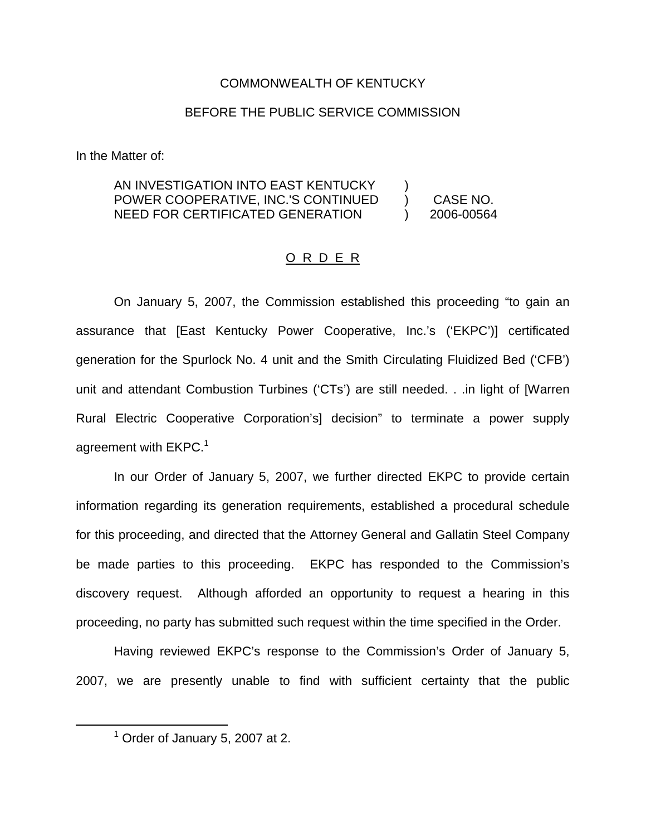## COMMONWEALTH OF KENTUCKY

## BEFORE THE PUBLIC SERVICE COMMISSION

In the Matter of:

#### AN INVESTIGATION INTO EAST KENTUCKY POWER COOPERATIVE, INC.'S CONTINUED NEED FOR CERTIFICATED GENERATION ) ) CASE NO. ) 2006-00564

### O R D E R

On January 5, 2007, the Commission established this proceeding "to gain an assurance that [East Kentucky Power Cooperative, Inc.'s ('EKPC')] certificated generation for the Spurlock No. 4 unit and the Smith Circulating Fluidized Bed ('CFB') unit and attendant Combustion Turbines ('CTs') are still needed. . .in light of [Warren Rural Electric Cooperative Corporation's] decision" to terminate a power supply agreement with  $EKPC.<sup>1</sup>$ 

In our Order of January 5, 2007, we further directed EKPC to provide certain information regarding its generation requirements, established a procedural schedule for this proceeding, and directed that the Attorney General and Gallatin Steel Company be made parties to this proceeding. EKPC has responded to the Commission's discovery request. Although afforded an opportunity to request a hearing in this proceeding, no party has submitted such request within the time specified in the Order.

Having reviewed EKPC's response to the Commission's Order of January 5, 2007, we are presently unable to find with sufficient certainty that the public

 $<sup>1</sup>$  Order of January 5, 2007 at 2.</sup>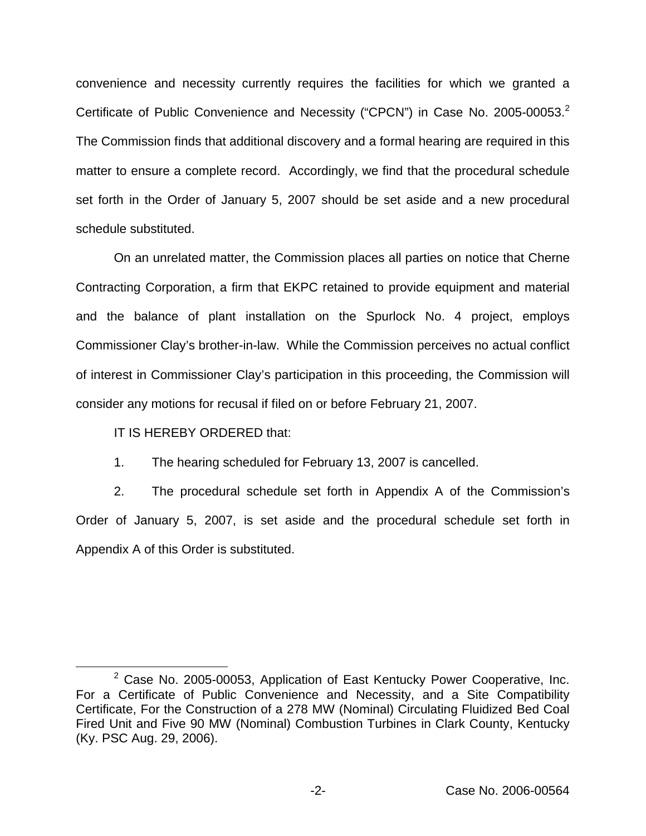convenience and necessity currently requires the facilities for which we granted a Certificate of Public Convenience and Necessity ("CPCN") in Case No. 2005-00053.<sup>2</sup> The Commission finds that additional discovery and a formal hearing are required in this matter to ensure a complete record. Accordingly, we find that the procedural schedule set forth in the Order of January 5, 2007 should be set aside and a new procedural schedule substituted.

On an unrelated matter, the Commission places all parties on notice that Cherne Contracting Corporation, a firm that EKPC retained to provide equipment and material and the balance of plant installation on the Spurlock No. 4 project, employs Commissioner Clay's brother-in-law. While the Commission perceives no actual conflict of interest in Commissioner Clay's participation in this proceeding, the Commission will consider any motions for recusal if filed on or before February 21, 2007.

IT IS HEREBY ORDERED that:

1. The hearing scheduled for February 13, 2007 is cancelled.

2. The procedural schedule set forth in Appendix A of the Commission's Order of January 5, 2007, is set aside and the procedural schedule set forth in Appendix A of this Order is substituted.

 $2$  Case No. 2005-00053, Application of East Kentucky Power Cooperative, Inc. For a Certificate of Public Convenience and Necessity, and a Site Compatibility Certificate, For the Construction of a 278 MW (Nominal) Circulating Fluidized Bed Coal Fired Unit and Five 90 MW (Nominal) Combustion Turbines in Clark County, Kentucky (Ky. PSC Aug. 29, 2006).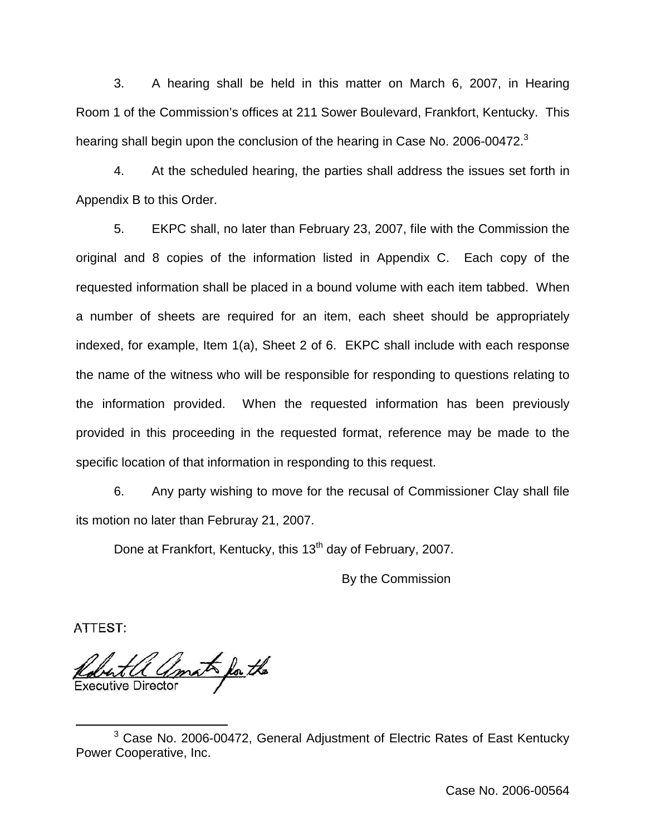3. A hearing shall be held in this matter on March 6, 2007, in Hearing Room 1 of the Commission's offices at 211 Sower Boulevard, Frankfort, Kentucky. This hearing shall begin upon the conclusion of the hearing in Case No. 2006-00472.<sup>3</sup>

4. At the scheduled hearing, the parties shall address the issues set forth in Appendix B to this Order.

5. EKPC shall, no later than February 23, 2007, file with the Commission the original and 8 copies of the information listed in Appendix C. Each copy of the requested information shall be placed in a bound volume with each item tabbed. When a number of sheets are required for an item, each sheet should be appropriately indexed, for example, Item 1(a), Sheet 2 of 6. EKPC shall include with each response the name of the witness who will be responsible for responding to questions relating to the information provided. When the requested information has been previously provided in this proceeding in the requested format, reference may be made to the specific location of that information in responding to this request.

6. Any party wishing to move for the recusal of Commissioner Clay shall file its motion no later than Februray 21, 2007.

Done at Frankfort, Kentucky, this 13<sup>th</sup> day of February, 2007.

By the Commission

**ATTEST:** 

mat for the **Executive Director** 

<sup>&</sup>lt;sup>3</sup> Case No. 2006-00472, General Adjustment of Electric Rates of East Kentucky Power Cooperative, Inc.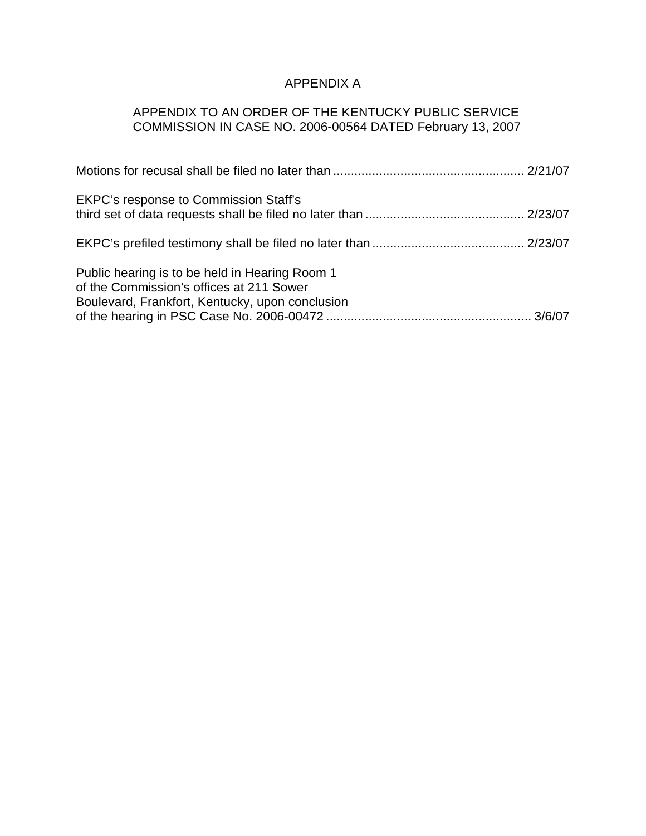# APPENDIX A

# APPENDIX TO AN ORDER OF THE KENTUCKY PUBLIC SERVICE COMMISSION IN CASE NO. 2006-00564 DATED February 13, 2007

| <b>EKPC's response to Commission Staff's</b>                                                                                                  |  |
|-----------------------------------------------------------------------------------------------------------------------------------------------|--|
|                                                                                                                                               |  |
| Public hearing is to be held in Hearing Room 1<br>of the Commission's offices at 211 Sower<br>Boulevard, Frankfort, Kentucky, upon conclusion |  |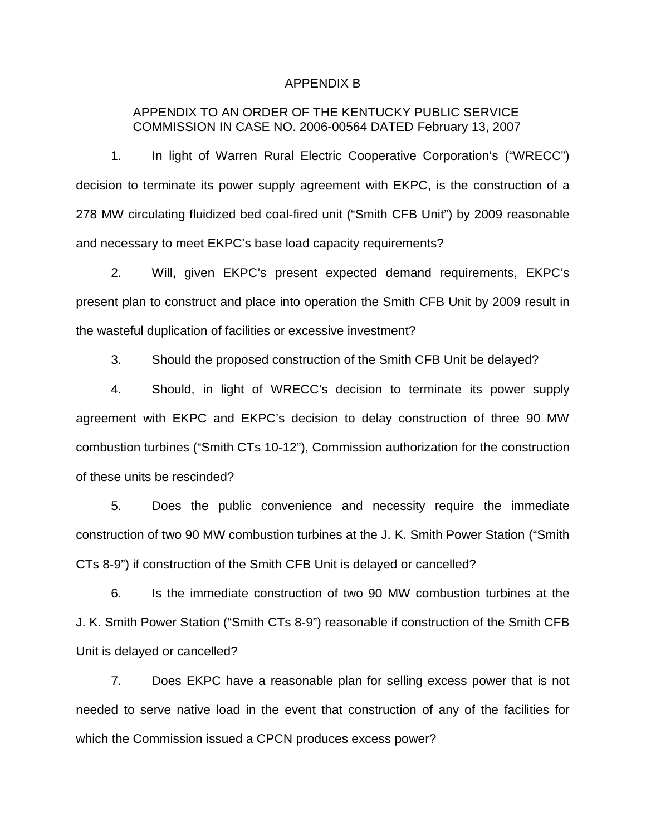#### APPENDIX B

## APPENDIX TO AN ORDER OF THE KENTUCKY PUBLIC SERVICE COMMISSION IN CASE NO. 2006-00564 DATED February 13, 2007

1. In light of Warren Rural Electric Cooperative Corporation's ("WRECC") decision to terminate its power supply agreement with EKPC, is the construction of a 278 MW circulating fluidized bed coal-fired unit ("Smith CFB Unit") by 2009 reasonable and necessary to meet EKPC's base load capacity requirements?

2. Will, given EKPC's present expected demand requirements, EKPC's present plan to construct and place into operation the Smith CFB Unit by 2009 result in the wasteful duplication of facilities or excessive investment?

3. Should the proposed construction of the Smith CFB Unit be delayed?

4. Should, in light of WRECC's decision to terminate its power supply agreement with EKPC and EKPC's decision to delay construction of three 90 MW combustion turbines ("Smith CTs 10-12"), Commission authorization for the construction of these units be rescinded?

5. Does the public convenience and necessity require the immediate construction of two 90 MW combustion turbines at the J. K. Smith Power Station ("Smith CTs 8-9") if construction of the Smith CFB Unit is delayed or cancelled?

6. Is the immediate construction of two 90 MW combustion turbines at the J. K. Smith Power Station ("Smith CTs 8-9") reasonable if construction of the Smith CFB Unit is delayed or cancelled?

7. Does EKPC have a reasonable plan for selling excess power that is not needed to serve native load in the event that construction of any of the facilities for which the Commission issued a CPCN produces excess power?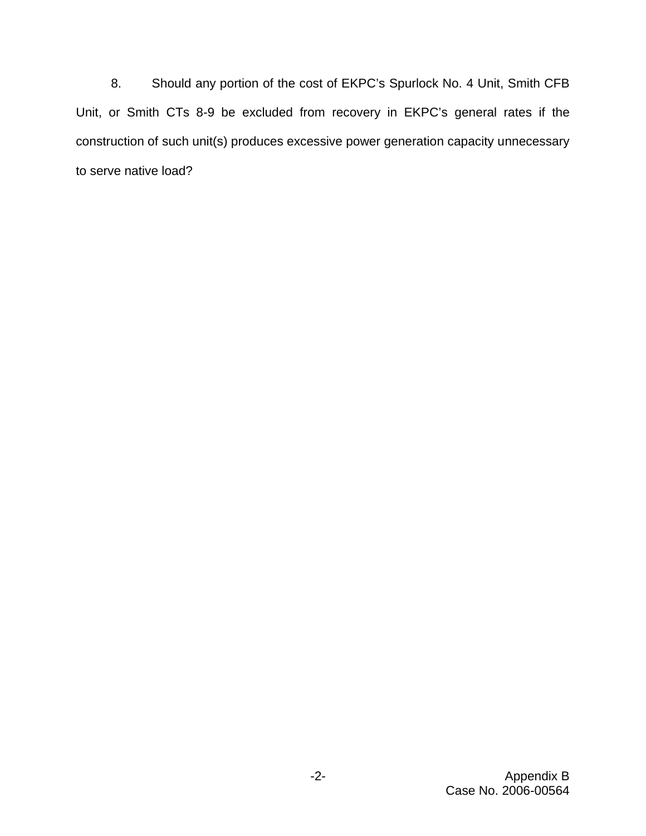8. Should any portion of the cost of EKPC's Spurlock No. 4 Unit, Smith CFB Unit, or Smith CTs 8-9 be excluded from recovery in EKPC's general rates if the construction of such unit(s) produces excessive power generation capacity unnecessary to serve native load?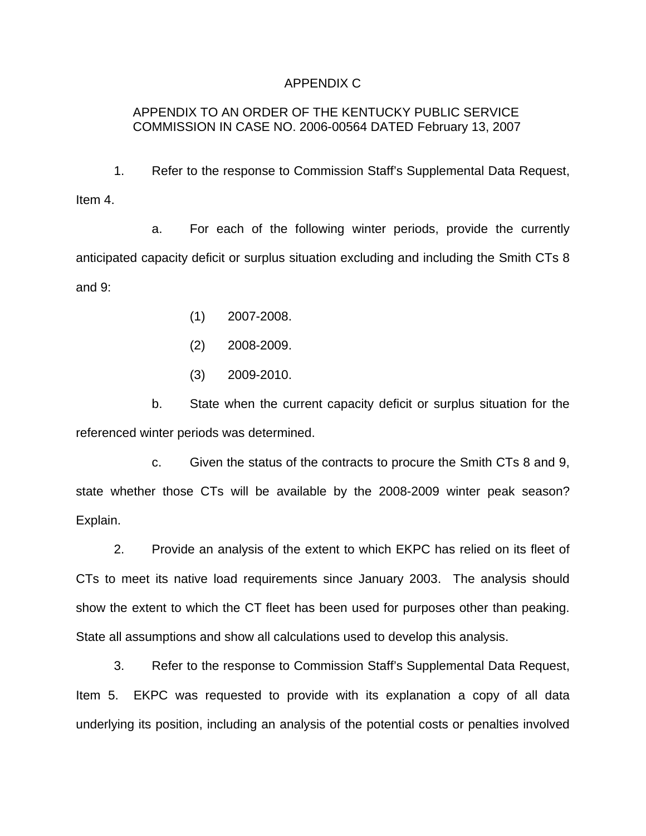## APPENDIX C

# APPENDIX TO AN ORDER OF THE KENTUCKY PUBLIC SERVICE COMMISSION IN CASE NO. 2006-00564 DATED February 13, 2007

1. Refer to the response to Commission Staff's Supplemental Data Request, Item 4.

a. For each of the following winter periods, provide the currently anticipated capacity deficit or surplus situation excluding and including the Smith CTs 8 and 9:

- (1) 2007-2008.
- (2) 2008-2009.
- (3) 2009-2010.

b. State when the current capacity deficit or surplus situation for the referenced winter periods was determined.

c. Given the status of the contracts to procure the Smith CTs 8 and 9, state whether those CTs will be available by the 2008-2009 winter peak season? Explain.

2. Provide an analysis of the extent to which EKPC has relied on its fleet of CTs to meet its native load requirements since January 2003. The analysis should show the extent to which the CT fleet has been used for purposes other than peaking. State all assumptions and show all calculations used to develop this analysis.

3. Refer to the response to Commission Staff's Supplemental Data Request, Item 5. EKPC was requested to provide with its explanation a copy of all data underlying its position, including an analysis of the potential costs or penalties involved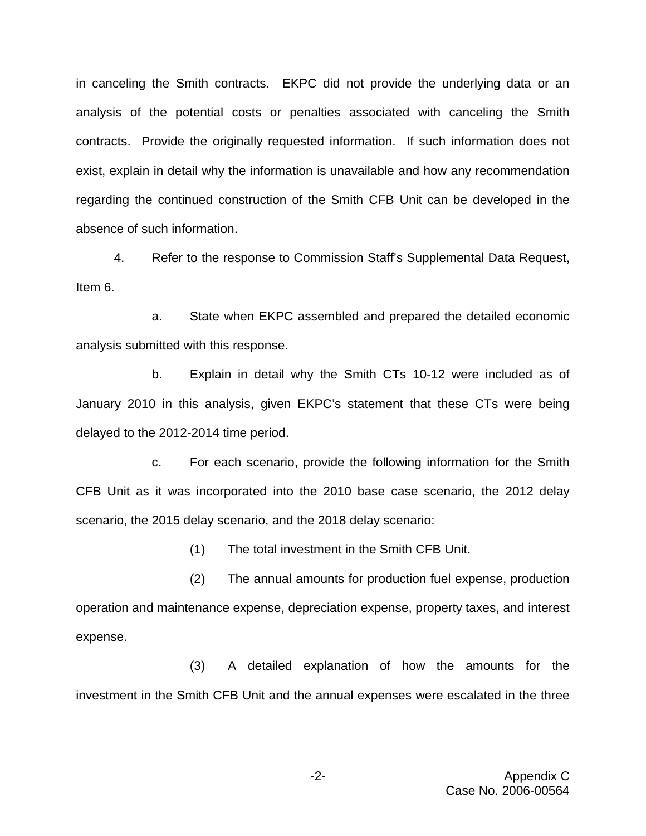in canceling the Smith contracts. EKPC did not provide the underlying data or an analysis of the potential costs or penalties associated with canceling the Smith contracts. Provide the originally requested information. If such information does not exist, explain in detail why the information is unavailable and how any recommendation regarding the continued construction of the Smith CFB Unit can be developed in the absence of such information.

4. Refer to the response to Commission Staff's Supplemental Data Request, Item 6.

a. State when EKPC assembled and prepared the detailed economic analysis submitted with this response.

b. Explain in detail why the Smith CTs 10-12 were included as of January 2010 in this analysis, given EKPC's statement that these CTs were being delayed to the 2012-2014 time period.

c. For each scenario, provide the following information for the Smith CFB Unit as it was incorporated into the 2010 base case scenario, the 2012 delay scenario, the 2015 delay scenario, and the 2018 delay scenario:

(1) The total investment in the Smith CFB Unit.

(2) The annual amounts for production fuel expense, production operation and maintenance expense, depreciation expense, property taxes, and interest expense.

(3) A detailed explanation of how the amounts for the investment in the Smith CFB Unit and the annual expenses were escalated in the three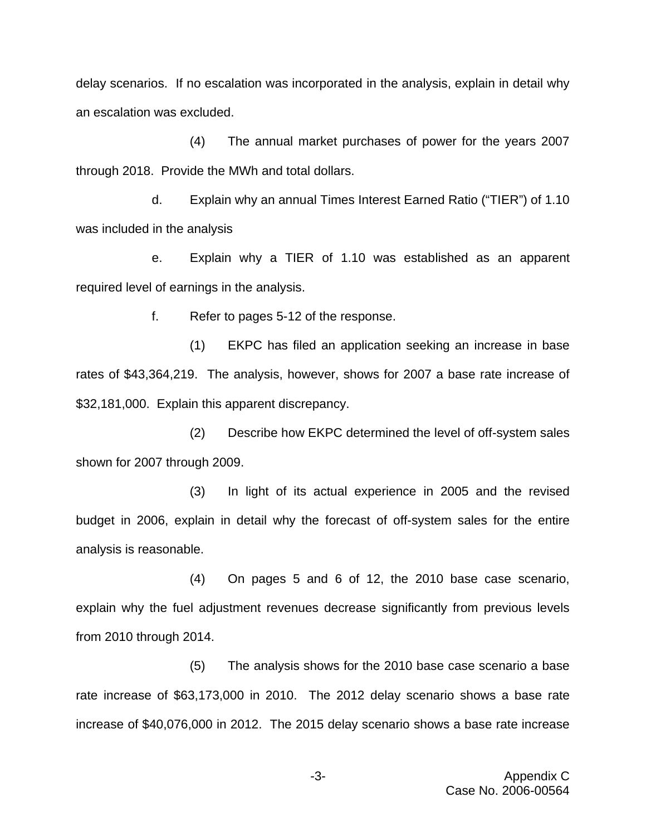delay scenarios. If no escalation was incorporated in the analysis, explain in detail why an escalation was excluded.

(4) The annual market purchases of power for the years 2007 through 2018. Provide the MWh and total dollars.

d. Explain why an annual Times Interest Earned Ratio ("TIER") of 1.10 was included in the analysis

e. Explain why a TIER of 1.10 was established as an apparent required level of earnings in the analysis.

f. Refer to pages 5-12 of the response.

(1) EKPC has filed an application seeking an increase in base rates of \$43,364,219. The analysis, however, shows for 2007 a base rate increase of \$32,181,000. Explain this apparent discrepancy.

(2) Describe how EKPC determined the level of off-system sales shown for 2007 through 2009.

(3) In light of its actual experience in 2005 and the revised budget in 2006, explain in detail why the forecast of off-system sales for the entire analysis is reasonable.

(4) On pages 5 and 6 of 12, the 2010 base case scenario, explain why the fuel adjustment revenues decrease significantly from previous levels from 2010 through 2014.

(5) The analysis shows for the 2010 base case scenario a base rate increase of \$63,173,000 in 2010. The 2012 delay scenario shows a base rate increase of \$40,076,000 in 2012. The 2015 delay scenario shows a base rate increase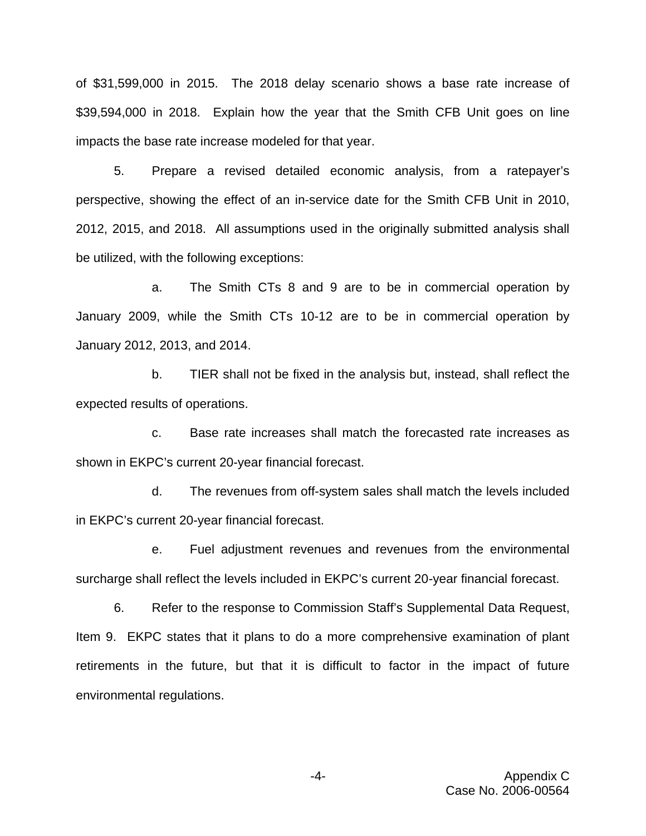of \$31,599,000 in 2015. The 2018 delay scenario shows a base rate increase of \$39,594,000 in 2018. Explain how the year that the Smith CFB Unit goes on line impacts the base rate increase modeled for that year.

5. Prepare a revised detailed economic analysis, from a ratepayer's perspective, showing the effect of an in-service date for the Smith CFB Unit in 2010, 2012, 2015, and 2018. All assumptions used in the originally submitted analysis shall be utilized, with the following exceptions:

a. The Smith CTs 8 and 9 are to be in commercial operation by January 2009, while the Smith CTs 10-12 are to be in commercial operation by January 2012, 2013, and 2014.

b. TIER shall not be fixed in the analysis but, instead, shall reflect the expected results of operations.

c. Base rate increases shall match the forecasted rate increases as shown in EKPC's current 20-year financial forecast.

d. The revenues from off-system sales shall match the levels included in EKPC's current 20-year financial forecast.

e. Fuel adjustment revenues and revenues from the environmental surcharge shall reflect the levels included in EKPC's current 20-year financial forecast.

6. Refer to the response to Commission Staff's Supplemental Data Request, Item 9. EKPC states that it plans to do a more comprehensive examination of plant retirements in the future, but that it is difficult to factor in the impact of future environmental regulations.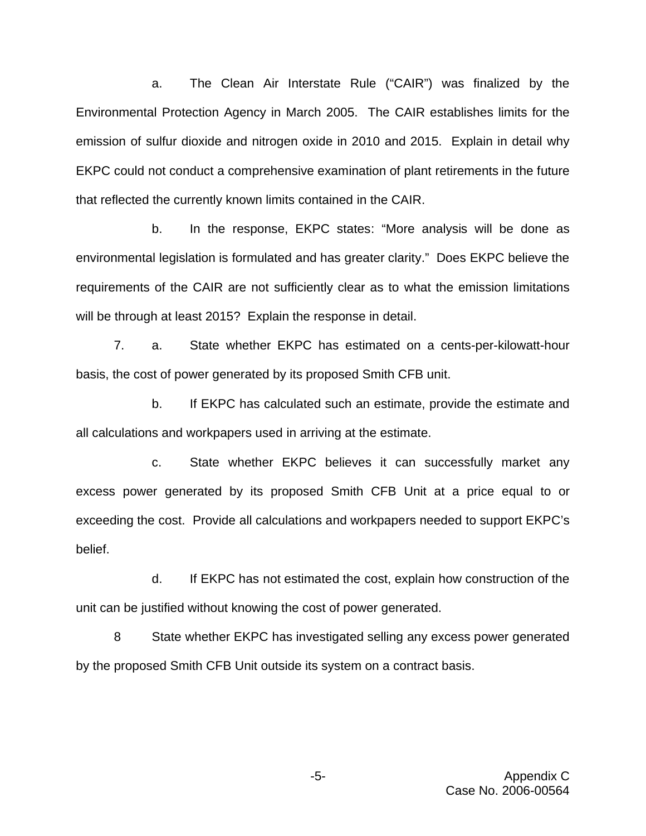a. The Clean Air Interstate Rule ("CAIR") was finalized by the Environmental Protection Agency in March 2005. The CAIR establishes limits for the emission of sulfur dioxide and nitrogen oxide in 2010 and 2015. Explain in detail why EKPC could not conduct a comprehensive examination of plant retirements in the future that reflected the currently known limits contained in the CAIR.

b. In the response, EKPC states: "More analysis will be done as environmental legislation is formulated and has greater clarity." Does EKPC believe the requirements of the CAIR are not sufficiently clear as to what the emission limitations will be through at least 2015? Explain the response in detail.

7. a. State whether EKPC has estimated on a cents-per-kilowatt-hour basis, the cost of power generated by its proposed Smith CFB unit.

b. If EKPC has calculated such an estimate, provide the estimate and all calculations and workpapers used in arriving at the estimate.

c. State whether EKPC believes it can successfully market any excess power generated by its proposed Smith CFB Unit at a price equal to or exceeding the cost. Provide all calculations and workpapers needed to support EKPC's belief.

d. If EKPC has not estimated the cost, explain how construction of the unit can be justified without knowing the cost of power generated.

8 State whether EKPC has investigated selling any excess power generated by the proposed Smith CFB Unit outside its system on a contract basis.